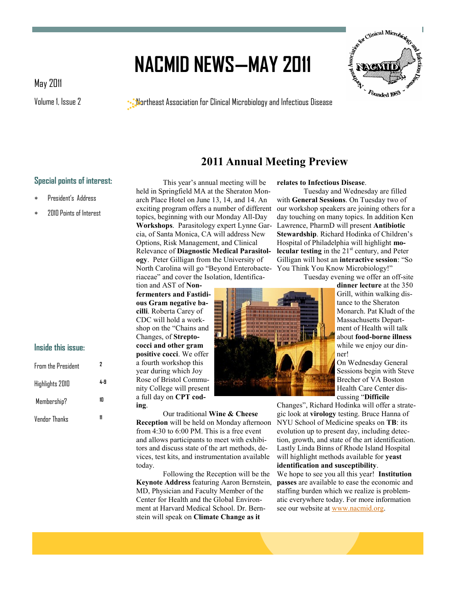# **NACMID NEWS—MAY 2011**



May 2011

Volume 1, Issue 2

 $\cdot$  Northeast Association for Clinical Microbiology and Infectious Disease

### **2011 Annual Meeting Preview**

#### **Special points of interest:**

- President's Address
- 2010 Points of Interest

#### **Inside this issue:**

| From the President | 2   |
|--------------------|-----|
| Highlights 2010    | 4-9 |
| Membership?        | 10  |
| Vendor Thanks      |     |

This year's annual meeting will be held in Springfield MA at the Sheraton Monarch Place Hotel on June 13, 14, and 14. An exciting program offers a number of different topics, beginning with our Monday All-Day **Workshops**. Parasitology expert Lynne Garcia, of Santa Monica, CA will address New Options, Risk Management, and Clinical Relevance of **Diagnostic Medical Parasitology**. Peter Gilligan from the University of North Carolina will go "Beyond Enterobacteriaceae" and cover the Isolation, Identifica-

tion and AST of **Nonfermenters and Fastidious Gram negative bacilli**. Roberta Carey of CDC will hold a workshop on the "Chains and Changes, of **Streptococci and other gram positive cocci**. We offer a fourth workshop this year during which Joy Rose of Bristol Community College will present a full day on **CPT coding**.

Our traditional **Wine & Cheese Reception** will be held on Monday afternoon from 4:30 to 6:00 PM. This is a free event and allows participants to meet with exhibitors and discuss state of the art methods, devices, test kits, and instrumentation available today.

Following the Reception will be the **Keynote Address** featuring Aaron Bernstein, MD, Physician and Faculty Member of the Center for Health and the Global Environment at Harvard Medical School. Dr. Bernstein will speak on **Climate Change as it** 

#### **relates to Infectious Disease**.

Tuesday and Wednesday are filled with **General Sessions**. On Tuesday two of our workshop speakers are joining others for a day touching on many topics. In addition Ken Lawrence, PharmD will present **Antibiotic Stewardship**. Richard Hodinka of Children's Hospital of Philadelphia will highlight **molecular testing** in the 21<sup>st</sup> century, and Peter Gilligan will host an **interactive session**: "So You Think You Know Microbiology!"

Tuesday evening we offer an off-site

**dinner lecture** at the 350 Grill, within walking distance to the Sheraton Monarch. Pat Kludt of the Massachusetts Department of Health will talk about **food-borne illness** while we enjoy our dinner!

On Wednesday General Sessions begin with Steve Brecher of VA Boston Health Care Center discussing "**Difficile** 

Changes", Richard Hodinka will offer a strategic look at **virology** testing. Bruce Hanna of NYU School of Medicine speaks on **TB**: its evolution up to present day, including detection, growth, and state of the art identification. Lastly Linda Binns of Rhode Island Hospital will highlight methods available for **yeast identification and susceptibility**.

We hope to see you all this year! **Institution passes** are available to ease the economic and staffing burden which we realize is problematic everywhere today. For more information see our website at [www.nacmid.org.](http://www.naccmid.org)

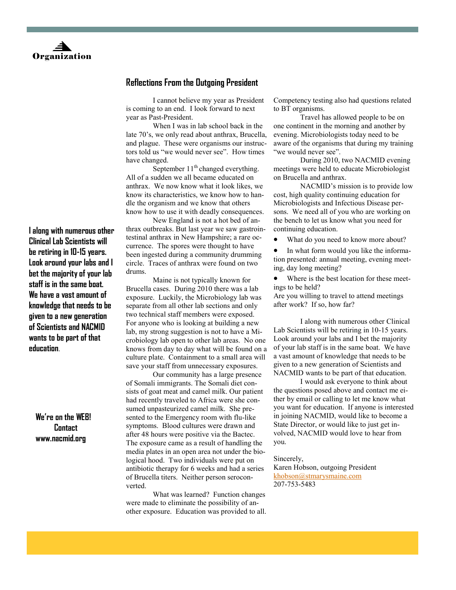

#### **Reflections From the Outgoing President**

I cannot believe my year as President is coming to an end. I look forward to next year as Past-President.

When I was in lab school back in the late 70's, we only read about anthrax, Brucella, and plague. These were organisms our instructors told us "we would never see". How times have changed.

September  $11<sup>th</sup>$  changed everything. All of a sudden we all became educated on anthrax. We now know what it look likes, we know its characteristics, we know how to handle the organism and we know that others know how to use it with deadly consequences.

New England is not a hot bed of anthrax outbreaks. But last year we saw gastrointestinal anthrax in New Hampshire; a rare occurrence. The spores were thought to have been ingested during a community drumming circle. Traces of anthrax were found on two drums.

Maine is not typically known for Brucella cases. During 2010 there was a lab exposure. Luckily, the Microbiology lab was separate from all other lab sections and only two technical staff members were exposed. For anyone who is looking at building a new lab, my strong suggestion is not to have a Microbiology lab open to other lab areas. No one knows from day to day what will be found on a culture plate. Containment to a small area will save your staff from unnecessary exposures.

Our community has a large presence of Somali immigrants. The Somali diet consists of goat meat and camel milk. Our patient had recently traveled to Africa were she consumed unpasteurized camel milk. She presented to the Emergency room with flu-like symptoms. Blood cultures were drawn and after 48 hours were positive via the Bactec. The exposure came as a result of handling the media plates in an open area not under the biological hood. Two individuals were put on antibiotic therapy for 6 weeks and had a series of Brucella titers. Neither person seroconverted.

What was learned? Function changes were made to eliminate the possibility of another exposure. Education was provided to all. Competency testing also had questions related to BT organisms.

Travel has allowed people to be on one continent in the morning and another by evening. Microbiologists today need to be aware of the organisms that during my training "we would never see".

During 2010, two NACMID evening meetings were held to educate Microbiologist on Brucella and anthrax.

NACMID's mission is to provide low cost, high quality continuing education for Microbiologists and Infectious Disease persons. We need all of you who are working on the bench to let us know what you need for continuing education.

What do you need to know more about?

 In what form would you like the information presented: annual meeting, evening meeting, day long meeting?

 Where is the best location for these meetings to be held?

Are you willing to travel to attend meetings after work? If so, how far?

I along with numerous other Clinical Lab Scientists will be retiring in 10-15 years. Look around your labs and I bet the majority of your lab staff is in the same boat. We have a vast amount of knowledge that needs to be given to a new generation of Scientists and NACMID wants to be part of that education.

I would ask everyone to think about the questions posed above and contact me either by email or calling to let me know what you want for education. If anyone is interested in joining NACMID, would like to become a State Director, or would like to just get involved, NACMID would love to hear from you.

Sincerely,

Karen Hobson, outgoing President [khobson@stmarysmaine.com](mailto:khobson@stmarysmaine.com) 207-753-5483

**I along with numerous other Clinical Lab Scientists will be retiring in 10-15 years. Look around your labs and I bet the majority of your lab staff is in the same boat. We have a vast amount of knowledge that needs to be given to a new generation of Scientists and NACMID wants to be part of that education**.

**We're on the WEB! Contact www.nacmid.org**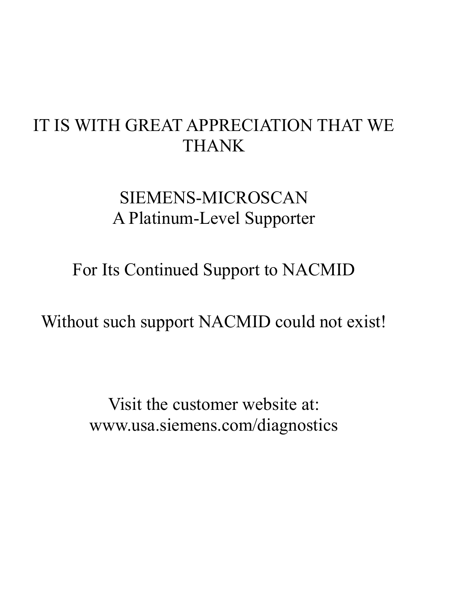## IT IS WITH GREAT APPRECIATION THAT WE THANK

## SIEMENS-MICROSCAN A Platinum-Level Supporter

For Its Continued Support to NACMID

Without such support NACMID could not exist!

Visit the customer website at: www.usa.siemens.com/diagnostics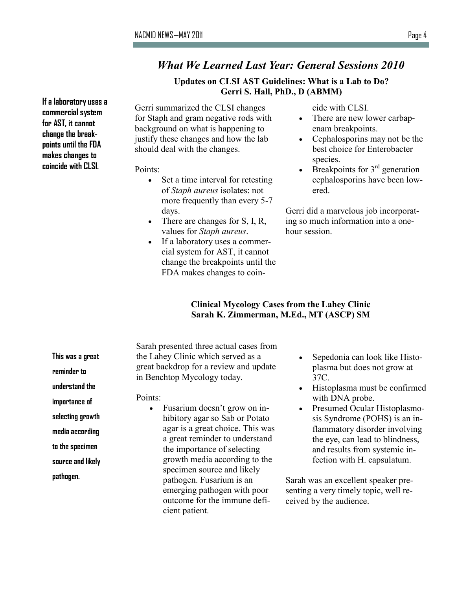## *What We Learned Last Year: General Sessions 2010*

#### **Updates on CLSI AST Guidelines: What is a Lab to Do? Gerri S. Hall, PhD., D (ABMM)**

**If a laboratory uses a commercial system for AST, it cannot change the breakpoints until the FDA makes changes to coincide with CLSI.**

Gerri summarized the CLSI changes for Staph and gram negative rods with background on what is happening to justify these changes and how the lab should deal with the changes.

Points:

- Set a time interval for retesting of *Staph aureus* isolates: not more frequently than every 5-7 days.
- $\bullet$  There are changes for S, I, R, values for *Staph aureus*.
- If a laboratory uses a commercial system for AST, it cannot change the breakpoints until the FDA makes changes to coin-

cide with CLSI.

- There are new lower carbapenam breakpoints.
- Cephalosporins may not be the best choice for Enterobacter species.
- $\bullet$  Breakpoints for 3<sup>rd</sup> generation cephalosporins have been lowered.

Gerri did a marvelous job incorporating so much information into a onehour session.

#### **Clinical Mycology Cases from the Lahey Clinic Sarah K. Zimmerman, M.Ed., MT (ASCP) SM**

Sarah presented three actual cases from the Lahey Clinic which served as a great backdrop for a review and update in Benchtop Mycology today.

Points:

- Fusarium doesn't grow on inhibitory agar so Sab or Potato agar is a great choice. This was a great reminder to understand the importance of selecting growth media according to the specimen source and likely pathogen. Fusarium is an emerging pathogen with poor outcome for the immune deficient patient.
- Sepedonia can look like Histoplasma but does not grow at 37C.
- Histoplasma must be confirmed with DNA probe.
- Presumed Ocular Histoplasmosis Syndrome (POHS) is an inflammatory disorder involving the eye, can lead to blindness, and results from systemic infection with H. capsulatum.

Sarah was an excellent speaker presenting a very timely topic, well received by the audience.

## **This was a great**

**reminder to** 

**understand the** 

**importance of** 

**selecting growth** 

**media according** 

**to the specimen** 

**source and likely** 

**pathogen.**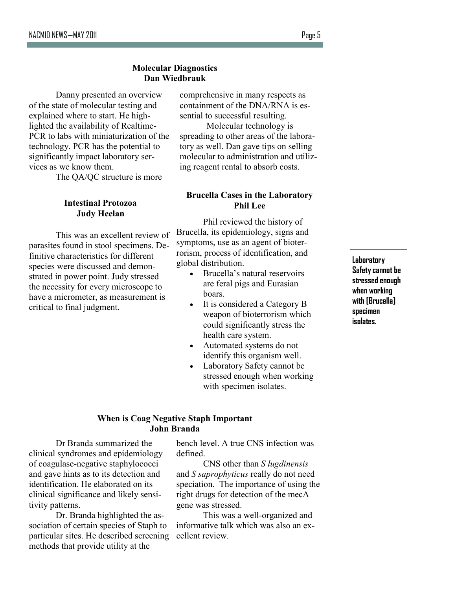#### **Molecular Diagnostics Dan Wiedbrauk**

Danny presented an overview of the state of molecular testing and explained where to start. He highlighted the availability of Realtime-PCR to labs with miniaturization of the technology. PCR has the potential to significantly impact laboratory services as we know them.

The QA/QC structure is more

#### **Intestinal Protozoa Judy Heelan**

This was an excellent review of parasites found in stool specimens. Definitive characteristics for different species were discussed and demonstrated in power point. Judy stressed the necessity for every microscope to have a micrometer, as measurement is critical to final judgment.

comprehensive in many respects as containment of the DNA/RNA is essential to successful resulting. Molecular technology is spreading to other areas of the laboratory as well. Dan gave tips on selling molecular to administration and utilizing reagent rental to absorb costs.

#### **Brucella Cases in the Laboratory Phil Lee**

Phil reviewed the history of Brucella, its epidemiology, signs and symptoms, use as an agent of bioterrorism, process of identification, and global distribution.

- Brucella's natural reservoirs are feral pigs and Eurasian boars.
- It is considered a Category B weapon of bioterrorism which could significantly stress the health care system.
- Automated systems do not identify this organism well.
- Laboratory Safety cannot be stressed enough when working with specimen isolates.

#### **When is Coag Negative Staph Important John Branda**

Dr Branda summarized the clinical syndromes and epidemiology of coagulase-negative staphylococci and gave hints as to its detection and identification. He elaborated on its clinical significance and likely sensitivity patterns.

Dr. Branda highlighted the association of certain species of Staph to particular sites. He described screening methods that provide utility at the

bench level. A true CNS infection was defined.

CNS other than *S lugdinensis* and *S saprophyticus* really do not need speciation. The importance of using the right drugs for detection of the mecA gene was stressed.

This was a well-organized and informative talk which was also an excellent review.

**Laboratory Safety cannot be stressed enough when working with [Brucella] specimen isolates.**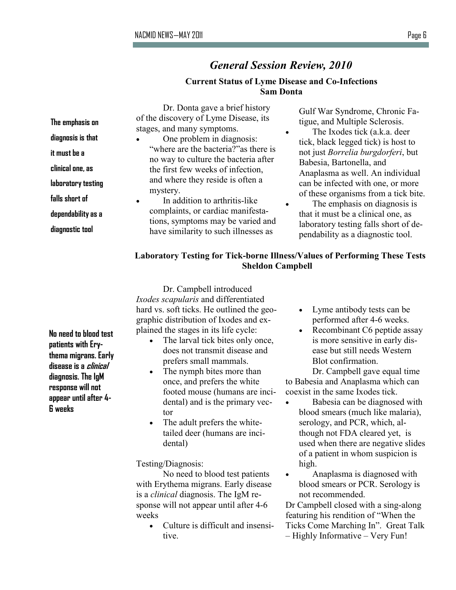## *General Session Review, 2010*

#### **Current Status of Lyme Disease and Co-Infections Sam Donta**

Dr. Donta gave a brief history of the discovery of Lyme Disease, its stages, and many symptoms.

- One problem in diagnosis: "where are the bacteria?"as there is no way to culture the bacteria after the first few weeks of infection, and where they reside is often a mystery.
- In addition to arthritis-like complaints, or cardiac manifestations, symptoms may be varied and have similarity to such illnesses as

Gulf War Syndrome, Chronic Fatigue, and Multiple Sclerosis.

- The Ixodes tick (a.k.a. deer tick, black legged tick) is host to not just *Borrelia burgdorferi*, but Babesia, Bartonella, and Anaplasma as well. An individual can be infected with one, or more of these organisms from a tick bite.
- The emphasis on diagnosis is that it must be a clinical one, as laboratory testing falls short of dependability as a diagnostic tool.

#### **Laboratory Testing for Tick-borne Illness/Values of Performing These Tests Sheldon Campbell**

Dr. Campbell introduced *Ixodes scapularis* and differentiated hard vs. soft ticks. He outlined the geographic distribution of Ixodes and explained the stages in its life cycle:

- The larval tick bites only once, does not transmit disease and prefers small mammals.
- The nymph bites more than once, and prefers the white footed mouse (humans are incidental) and is the primary vector
- The adult prefers the whitetailed deer (humans are incidental)

Testing/Diagnosis:

No need to blood test patients with Erythema migrans. Early disease is a *clinical* diagnosis. The IgM response will not appear until after 4-6 weeks

 Culture is difficult and insensitive.

- Lyme antibody tests can be performed after 4-6 weeks.
- Recombinant C6 peptide assay is more sensitive in early disease but still needs Western Blot confirmation.

Dr. Campbell gave equal time to Babesia and Anaplasma which can coexist in the same Ixodes tick.

- Babesia can be diagnosed with blood smears (much like malaria), serology, and PCR, which, although not FDA cleared yet, is used when there are negative slides of a patient in whom suspicion is high.
- Anaplasma is diagnosed with blood smears or PCR. Serology is not recommended.

Dr Campbell closed with a sing-along featuring his rendition of "When the Ticks Come Marching In". Great Talk – Highly Informative – Very Fun!

**No need to blood test patients with Erythema migrans. Early disease is a clinical diagnosis. The IgM response will not appear until after 4- 6 weeks**

**The emphasis on** 

**diagnosis is that** 

**it must be a** 

**clinical one, as** 

**falls short of** 

**laboratory testing** 

**dependability as a** 

**diagnostic tool**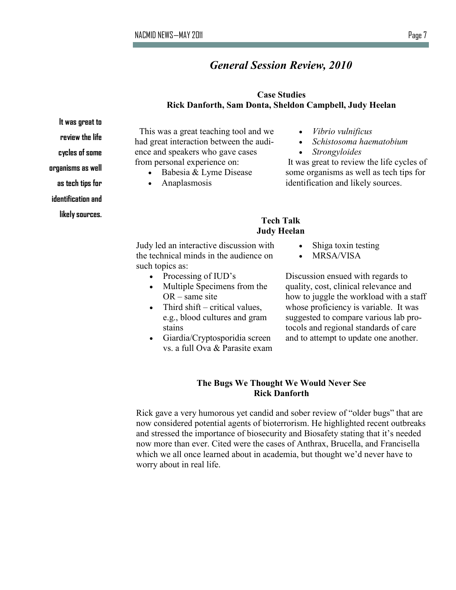## *General Session Review, 2010*

#### **Case Studies Rick Danforth, Sam Donta, Sheldon Campbell, Judy Heelan**

**It was great to review the life cycles of some organisms as well as tech tips for identification and likely sources.** 

 This was a great teaching tool and we had great interaction between the audience and speakers who gave cases from personal experience on:

- Babesia & Lyme Disease
- Anaplasmosis
- *Vibrio vulnificus*
- *Schistosoma haematobium*
- *Strongyloides*

It was great to review the life cycles of some organisms as well as tech tips for identification and likely sources.

#### **Tech Talk Judy Heelan**

Judy led an interactive discussion with the technical minds in the audience on such topics as:

- Processing of IUD's
- Multiple Specimens from the OR – same site
- Third shift critical values, e.g., blood cultures and gram stains
- Giardia/Cryptosporidia screen vs. a full Ova & Parasite exam

Discussion ensued with regards to quality, cost, clinical relevance and how to juggle the workload with a staff whose proficiency is variable. It was suggested to compare various lab protocols and regional standards of care and to attempt to update one another.

Shiga toxin testing

• MRSA/VISA

#### **The Bugs We Thought We Would Never See Rick Danforth**

Rick gave a very humorous yet candid and sober review of "older bugs" that are now considered potential agents of bioterrorism. He highlighted recent outbreaks and stressed the importance of biosecurity and Biosafety stating that it's needed now more than ever. Cited were the cases of Anthrax, Brucella, and Francisella which we all once learned about in academia, but thought we'd never have to worry about in real life.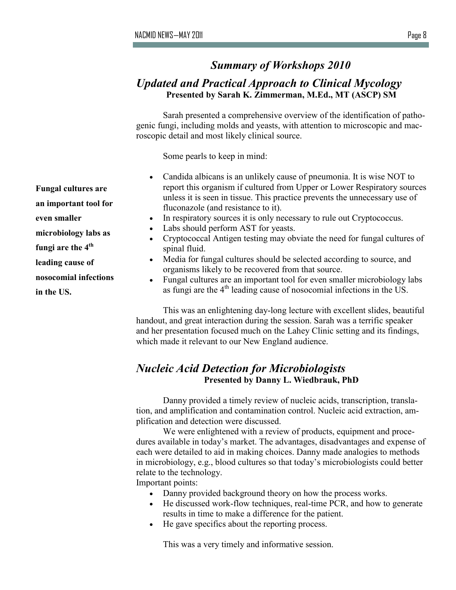## *Summary of Workshops 2010*

### *Updated and Practical Approach to Clinical Mycology*  **Presented by Sarah K. Zimmerman, M.Ed., MT (ASCP) SM**

Sarah presented a comprehensive overview of the identification of pathogenic fungi, including molds and yeasts, with attention to microscopic and macroscopic detail and most likely clinical source.

Some pearls to keep in mind:

- Candida albicans is an unlikely cause of pneumonia. It is wise NOT to report this organism if cultured from Upper or Lower Respiratory sources unless it is seen in tissue. This practice prevents the unnecessary use of fluconazole (and resistance to it).
- In respiratory sources it is only necessary to rule out Cryptococcus.
- Labs should perform AST for yeasts.
- Cryptococcal Antigen testing may obviate the need for fungal cultures of spinal fluid.
- Media for fungal cultures should be selected according to source, and organisms likely to be recovered from that source.
- Fungal cultures are an important tool for even smaller microbiology labs as fungi are the 4<sup>th</sup> leading cause of nosocomial infections in the US.

This was an enlightening day-long lecture with excellent slides, beautiful handout, and great interaction during the session. Sarah was a terrific speaker and her presentation focused much on the Lahey Clinic setting and its findings, which made it relevant to our New England audience.

### *Nucleic Acid Detection for Microbiologists* **Presented by Danny L. Wiedbrauk, PhD**

Danny provided a timely review of nucleic acids, transcription, translation, and amplification and contamination control. Nucleic acid extraction, amplification and detection were discussed.

We were enlightened with a review of products, equipment and procedures available in today's market. The advantages, disadvantages and expense of each were detailed to aid in making choices. Danny made analogies to methods in microbiology, e.g., blood cultures so that today's microbiologists could better relate to the technology.

Important points:

- Danny provided background theory on how the process works.
- He discussed work-flow techniques, real-time PCR, and how to generate results in time to make a difference for the patient.
- He gave specifics about the reporting process.

This was a very timely and informative session.

**Fungal cultures are an important tool for even smaller microbiology labs as fungi are the 4th**

- **leading cause of**
- **nosocomial infections**
- **in the US.**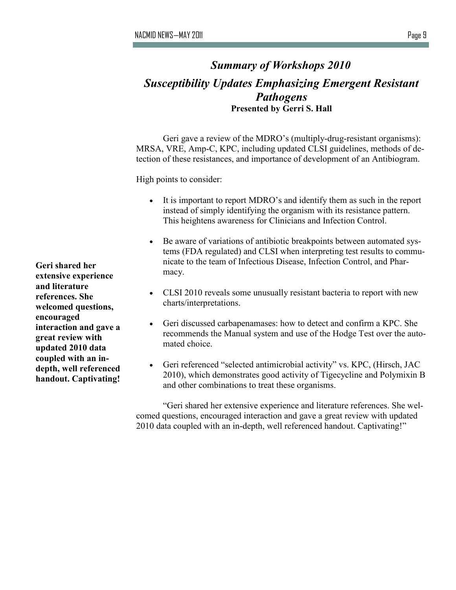## *Summary of Workshops 2010 Susceptibility Updates Emphasizing Emergent Resistant Pathogens* **Presented by Gerri S. Hall**

Geri gave a review of the MDRO's (multiply-drug-resistant organisms): MRSA, VRE, Amp-C, KPC, including updated CLSI guidelines, methods of detection of these resistances, and importance of development of an Antibiogram.

High points to consider:

- It is important to report MDRO's and identify them as such in the report instead of simply identifying the organism with its resistance pattern. This heightens awareness for Clinicians and Infection Control.
- Be aware of variations of antibiotic breakpoints between automated systems (FDA regulated) and CLSI when interpreting test results to communicate to the team of Infectious Disease, Infection Control, and Pharmacy.
- CLSI 2010 reveals some unusually resistant bacteria to report with new charts/interpretations.
- Geri discussed carbapenamases: how to detect and confirm a KPC. She recommends the Manual system and use of the Hodge Test over the automated choice.
- Geri referenced "selected antimicrobial activity" vs. KPC, (Hirsch, JAC 2010), which demonstrates good activity of Tigecycline and Polymixin B and other combinations to treat these organisms.

"Geri shared her extensive experience and literature references. She welcomed questions, encouraged interaction and gave a great review with updated 2010 data coupled with an in-depth, well referenced handout. Captivating!"

**Geri shared her extensive experience and literature references. She welcomed questions, encouraged interaction and gave a great review with updated 2010 data coupled with an indepth, well referenced handout. Captivating!**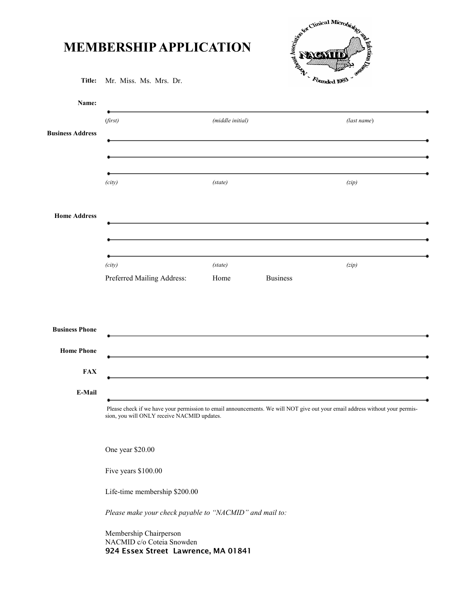|                                 | <b>MEMBERSHIP APPLICATION</b>                                                              |                  | imical Microbiol                                                                                                      |                                                                                                                              |
|---------------------------------|--------------------------------------------------------------------------------------------|------------------|-----------------------------------------------------------------------------------------------------------------------|------------------------------------------------------------------------------------------------------------------------------|
| Title:                          | Mr. Miss. Ms. Mrs. Dr.                                                                     |                  |                                                                                                                       | Founded 1983                                                                                                                 |
| Name:                           |                                                                                            |                  |                                                                                                                       |                                                                                                                              |
| <b>Business Address</b>         | (first)                                                                                    | (middle initial) |                                                                                                                       | (last name)                                                                                                                  |
|                                 |                                                                                            |                  |                                                                                                                       |                                                                                                                              |
|                                 | (city)                                                                                     | (state)          |                                                                                                                       | (zip)                                                                                                                        |
| <b>Home Address</b>             |                                                                                            |                  |                                                                                                                       |                                                                                                                              |
|                                 | (city)<br>Preferred Mailing Address:                                                       | (state)<br>Home  | <b>Business</b>                                                                                                       | (zip)                                                                                                                        |
| <b>Business Phone</b>           |                                                                                            |                  |                                                                                                                       |                                                                                                                              |
| <b>Home Phone</b><br><b>FAX</b> |                                                                                            |                  | <u> 1989 - Johann Stoff, deutscher Stoff, der Stoff, der Stoff, der Stoff, der Stoff, der Stoff, der Stoff, der S</u> |                                                                                                                              |
| E-Mail                          | sion, you will ONLY receive NACMID updates.                                                |                  | <u> 1989 - John Stein, Amerikaansk politiker († 1908)</u>                                                             | Please check if we have your permission to email announcements. We will NOT give out your email address without your permis- |
|                                 | One year \$20.00                                                                           |                  |                                                                                                                       |                                                                                                                              |
|                                 | Five years \$100.00                                                                        |                  |                                                                                                                       |                                                                                                                              |
|                                 | Life-time membership \$200.00                                                              |                  |                                                                                                                       |                                                                                                                              |
|                                 | Please make your check payable to "NACMID" and mail to:                                    |                  |                                                                                                                       |                                                                                                                              |
|                                 | Membership Chairperson<br>NACMID c/o Coteia Snowden<br>924 Essex Street Lawrence, MA 01841 |                  |                                                                                                                       |                                                                                                                              |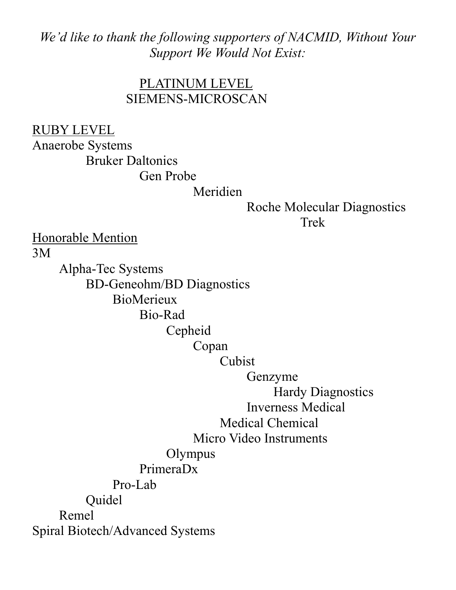*We'd like to thank the following supporters of NACMID, Without Your Support We Would Not Exist:*

## PLATINUM LEVEL SIEMENS-MICROSCAN

RUBY LEVEL

Anaerobe Systems Bruker Daltonics Gen Probe

Meridien

## Roche Molecular Diagnostics Trek

Honorable Mention 3M

Alpha-Tec Systems BD-Geneohm/BD Diagnostics **BioMerieux** Bio-Rad Cepheid Copan Cubist Genzyme Hardy Diagnostics Inverness Medical Medical Chemical Micro Video Instruments **Olympus** PrimeraDx Pro-Lab Quidel Remel Spiral Biotech/Advanced Systems